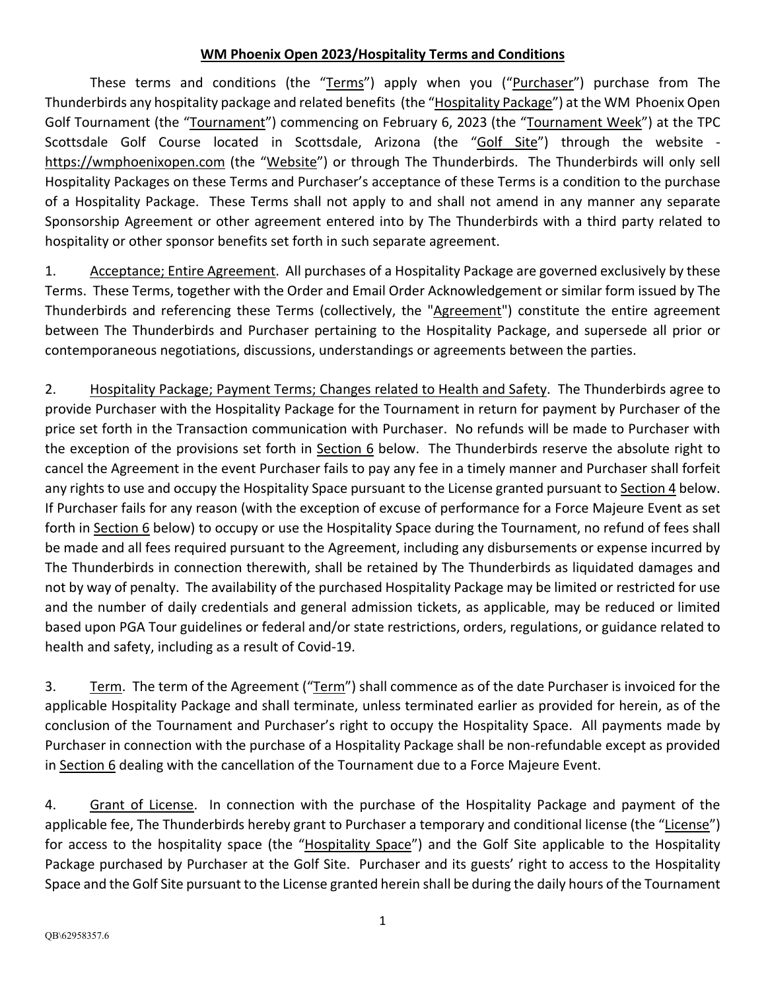## **WM Phoenix Open 2023/Hospitality Terms and Conditions**

These terms and conditions (the "Terms") apply when you ("Purchaser") purchase from The Thunderbirds any hospitality package and related benefits (the "Hospitality Package") at the WM Phoenix Open Golf Tournament (the "Tournament") commencing on February 6, 2023 (the "Tournament Week") at the TPC Scottsdale Golf Course located in Scottsdale, Arizona (the "Golf Site") through the website [https://wmphoenixopen.com](https://wmphoenixopen.com/) (the "Website") or through The Thunderbirds. The Thunderbirds will only sell Hospitality Packages on these Terms and Purchaser's acceptance of these Terms is a condition to the purchase of a Hospitality Package. These Terms shall not apply to and shall not amend in any manner any separate Sponsorship Agreement or other agreement entered into by The Thunderbirds with a third party related to hospitality or other sponsor benefits set forth in such separate agreement.

1. Acceptance; Entire Agreement. All purchases of a Hospitality Package are governed exclusively by these Terms. These Terms, together with the Order and Email Order Acknowledgement or similar form issued by The Thunderbirds and referencing these Terms (collectively, the "Agreement") constitute the entire agreement between The Thunderbirds and Purchaser pertaining to the Hospitality Package, and supersede all prior or contemporaneous negotiations, discussions, understandings or agreements between the parties.

2. Hospitality Package; Payment Terms; Changes related to Health and Safety. The Thunderbirds agree to provide Purchaser with the Hospitality Package for the Tournament in return for payment by Purchaser of the price set forth in the Transaction communication with Purchaser. No refunds will be made to Purchaser with the exception of the provisions set forth in Section 6 below. The Thunderbirds reserve the absolute right to cancel the Agreement in the event Purchaser fails to pay any fee in a timely manner and Purchaser shall forfeit any rights to use and occupy the Hospitality Space pursuant to the License granted pursuant to Section 4 below. If Purchaser fails for any reason (with the exception of excuse of performance for a Force Majeure Event as set forth in Section 6 below) to occupy or use the Hospitality Space during the Tournament, no refund of fees shall be made and all fees required pursuant to the Agreement, including any disbursements or expense incurred by The Thunderbirds in connection therewith, shall be retained by The Thunderbirds as liquidated damages and not by way of penalty. The availability of the purchased Hospitality Package may be limited or restricted for use and the number of daily credentials and general admission tickets, as applicable, may be reduced or limited based upon PGA Tour guidelines or federal and/or state restrictions, orders, regulations, or guidance related to health and safety, including as a result of Covid-19.

3. Term. The term of the Agreement ("Term") shall commence as of the date Purchaser is invoiced for the applicable Hospitality Package and shall terminate, unless terminated earlier as provided for herein, as of the conclusion of the Tournament and Purchaser's right to occupy the Hospitality Space. All payments made by Purchaser in connection with the purchase of a Hospitality Package shall be non-refundable except as provided in Section 6 dealing with the cancellation of the Tournament due to a Force Majeure Event.

4. Grant of License. In connection with the purchase of the Hospitality Package and payment of the applicable fee, The Thunderbirds hereby grant to Purchaser a temporary and conditional license (the "License") for access to the hospitality space (the "Hospitality Space") and the Golf Site applicable to the Hospitality Package purchased by Purchaser at the Golf Site. Purchaser and its guests' right to access to the Hospitality Space and the Golf Site pursuant to the License granted herein shall be during the daily hours of the Tournament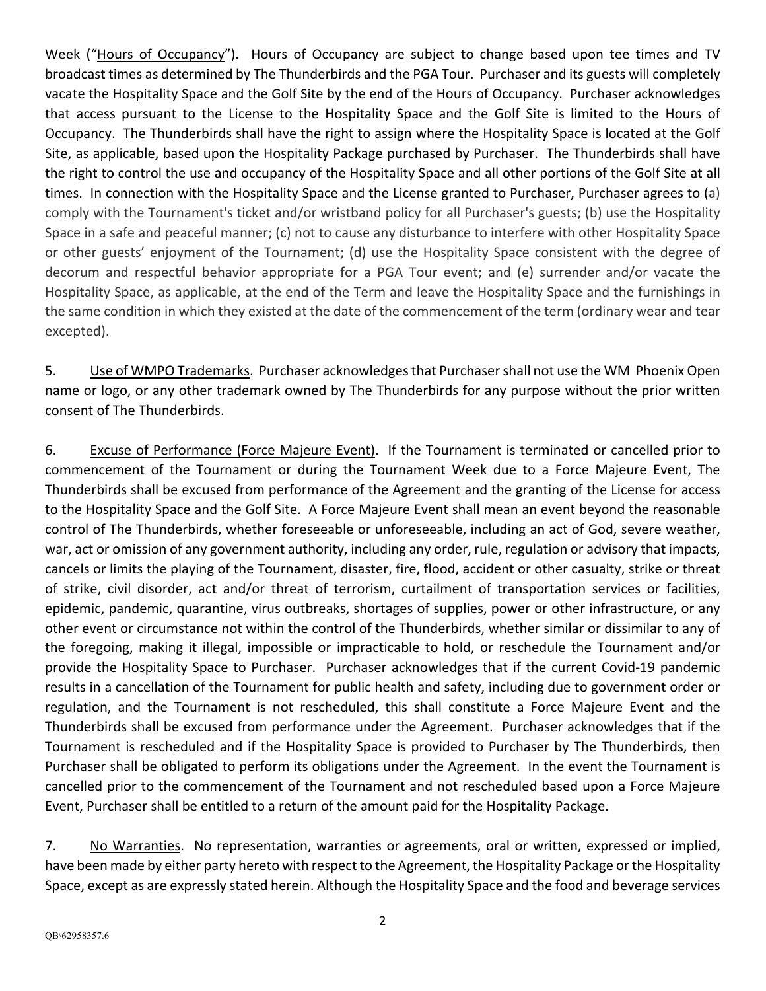Week ("Hours of Occupancy"). Hours of Occupancy are subject to change based upon tee times and TV broadcast times as determined by The Thunderbirds and the PGA Tour. Purchaser and its guests will completely vacate the Hospitality Space and the Golf Site by the end of the Hours of Occupancy. Purchaser acknowledges that access pursuant to the License to the Hospitality Space and the Golf Site is limited to the Hours of Occupancy. The Thunderbirds shall have the right to assign where the Hospitality Space is located at the Golf Site, as applicable, based upon the Hospitality Package purchased by Purchaser. The Thunderbirds shall have the right to control the use and occupancy of the Hospitality Space and all other portions of the Golf Site at all times. In connection with the Hospitality Space and the License granted to Purchaser, Purchaser agrees to (a) comply with the Tournament's ticket and/or wristband policy for all Purchaser's guests; (b) use the Hospitality Space in a safe and peaceful manner; (c) not to cause any disturbance to interfere with other Hospitality Space or other guests' enjoyment of the Tournament; (d) use the Hospitality Space consistent with the degree of decorum and respectful behavior appropriate for a PGA Tour event; and (e) surrender and/or vacate the Hospitality Space, as applicable, at the end of the Term and leave the Hospitality Space and the furnishings in the same condition in which they existed at the date of the commencement of the term (ordinary wear and tear excepted).

5. Use of WMPO Trademarks. Purchaser acknowledges that Purchasershall not use the WM Phoenix Open name or logo, or any other trademark owned by The Thunderbirds for any purpose without the prior written consent of The Thunderbirds.

6. Excuse of Performance (Force Majeure Event). If the Tournament is terminated or cancelled prior to commencement of the Tournament or during the Tournament Week due to a Force Majeure Event, The Thunderbirds shall be excused from performance of the Agreement and the granting of the License for access to the Hospitality Space and the Golf Site. A Force Majeure Event shall mean an event beyond the reasonable control of The Thunderbirds, whether foreseeable or unforeseeable, including an act of God, severe weather, war, act or omission of any government authority, including any order, rule, regulation or advisory that impacts, cancels or limits the playing of the Tournament, disaster, fire, flood, accident or other casualty, strike or threat of strike, civil disorder, act and/or threat of terrorism, curtailment of transportation services or facilities, epidemic, pandemic, quarantine, virus outbreaks, shortages of supplies, power or other infrastructure, or any other event or circumstance not within the control of the Thunderbirds, whether similar or dissimilar to any of the foregoing, making it illegal, impossible or impracticable to hold, or reschedule the Tournament and/or provide the Hospitality Space to Purchaser. Purchaser acknowledges that if the current Covid-19 pandemic results in a cancellation of the Tournament for public health and safety, including due to government order or regulation, and the Tournament is not rescheduled, this shall constitute a Force Majeure Event and the Thunderbirds shall be excused from performance under the Agreement. Purchaser acknowledges that if the Tournament is rescheduled and if the Hospitality Space is provided to Purchaser by The Thunderbirds, then Purchaser shall be obligated to perform its obligations under the Agreement. In the event the Tournament is cancelled prior to the commencement of the Tournament and not rescheduled based upon a Force Majeure Event, Purchaser shall be entitled to a return of the amount paid for the Hospitality Package.

7. No Warranties. No representation, warranties or agreements, oral or written, expressed or implied, have been made by either party hereto with respect to the Agreement, the Hospitality Package or the Hospitality Space, except as are expressly stated herein. Although the Hospitality Space and the food and beverage services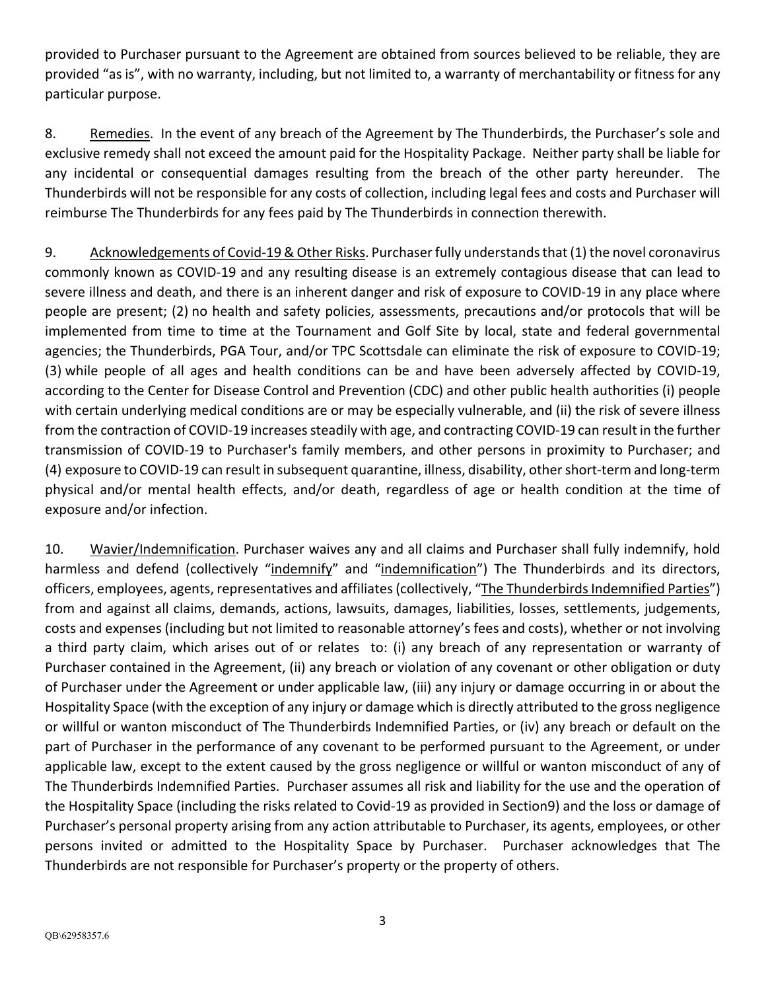provided to Purchaser pursuant to the Agreement are obtained from sources believed to be reliable, they are provided "as is", with no warranty, including, but not limited to, a warranty of merchantability or fitness for any particular purpose.

8. Remedies. In the event of any breach of the Agreement by The Thunderbirds, the Purchaser's sole and exclusive remedy shall not exceed the amount paid for the Hospitality Package. Neither party shall be liable for any incidental or consequential damages resulting from the breach of the other party hereunder. The Thunderbirds will not be responsible for any costs of collection, including legal fees and costs and Purchaser will reimburse The Thunderbirds for any fees paid by The Thunderbirds in connection therewith.

9. Acknowledgements of Covid-19 & Other Risks. Purchaser fully understands that (1) the novel coronavirus commonly known as COVID-19 and any resulting disease is an extremely contagious disease that can lead to severe illness and death, and there is an inherent danger and risk of exposure to COVID-19 in any place where people are present; (2) no health and safety policies, assessments, precautions and/or protocols that will be implemented from time to time at the Tournament and Golf Site by local, state and federal governmental agencies; the Thunderbirds, PGA Tour, and/or TPC Scottsdale can eliminate the risk of exposure to COVID-19; (3) while people of all ages and health conditions can be and have been adversely affected by COVID-19, according to the Center for Disease Control and Prevention (CDC) and other public health authorities (i) people with certain underlying medical conditions are or may be especially vulnerable, and (ii) the risk of severe illness from the contraction of COVID-19 increases steadily with age, and contracting COVID-19 can result in the further transmission of COVID-19 to Purchaser's family members, and other persons in proximity to Purchaser; and (4) exposure to COVID-19 can result in subsequent quarantine, illness, disability, other short-term and long-term physical and/or mental health effects, and/or death, regardless of age or health condition at the time of exposure and/or infection.

10. Wavier/Indemnification. Purchaser waives any and all claims and Purchaser shall fully indemnify, hold harmless and defend (collectively "indemnify" and "indemnification") The Thunderbirds and its directors, officers, employees, agents, representatives and affiliates (collectively, "The Thunderbirds Indemnified Parties") from and against all claims, demands, actions, lawsuits, damages, liabilities, losses, settlements, judgements, costs and expenses (including but not limited to reasonable attorney's fees and costs), whether or not involving a third party claim, which arises out of or relates to: (i) any breach of any representation or warranty of Purchaser contained in the Agreement, (ii) any breach or violation of any covenant or other obligation or duty of Purchaser under the Agreement or under applicable law, (iii) any injury or damage occurring in or about the Hospitality Space (with the exception of any injury or damage which is directly attributed to the gross negligence or willful or wanton misconduct of The Thunderbirds Indemnified Parties, or (iv) any breach or default on the part of Purchaser in the performance of any covenant to be performed pursuant to the Agreement, or under applicable law, except to the extent caused by the gross negligence or willful or wanton misconduct of any of The Thunderbirds Indemnified Parties. Purchaser assumes all risk and liability for the use and the operation of the Hospitality Space (including the risks related to Covid-19 as provided in Section9) and the loss or damage of Purchaser's personal property arising from any action attributable to Purchaser, its agents, employees, or other persons invited or admitted to the Hospitality Space by Purchaser. Purchaser acknowledges that The Thunderbirds are not responsible for Purchaser's property or the property of others.